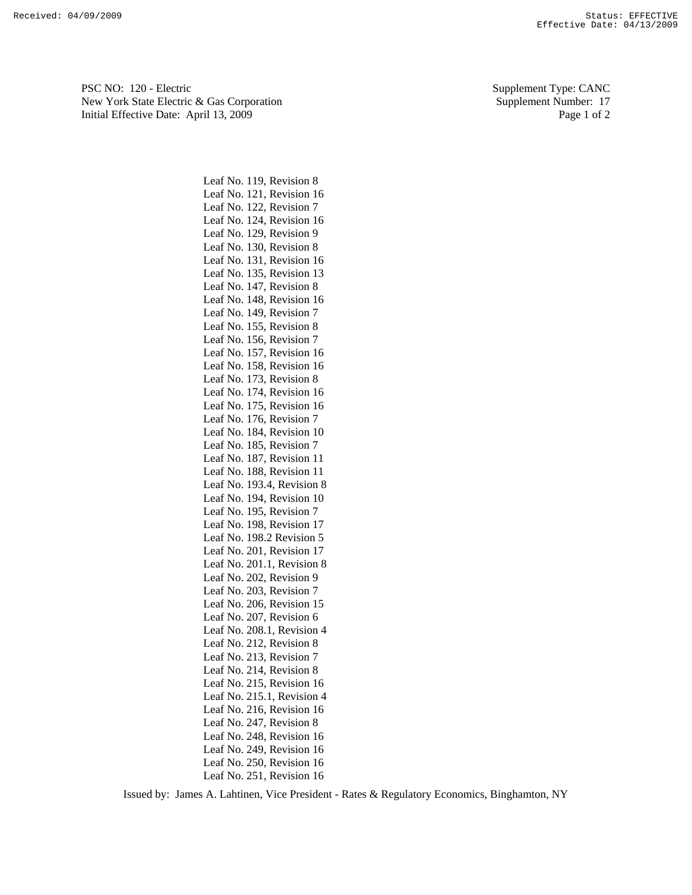PSC NO: 120 - Electric Supplement Type: CANC New York State Electric & Gas Corporation Supplement Number: 17 Initial Effective Date: April 13, 2009 Page 1 of 2

> Leaf No. 119, Revision 8 Leaf No. 121, Revision 16 Leaf No. 122, Revision 7 Leaf No. 124, Revision 16 Leaf No. 129, Revision 9 Leaf No. 130, Revision 8 Leaf No. 131, Revision 16 Leaf No. 135, Revision 13 Leaf No. 147, Revision 8 Leaf No. 148, Revision 16 Leaf No. 149, Revision 7 Leaf No. 155, Revision 8 Leaf No. 156, Revision 7 Leaf No. 157, Revision 16 Leaf No. 158, Revision 16 Leaf No. 173, Revision 8 Leaf No. 174, Revision 16 Leaf No. 175, Revision 16 Leaf No. 176, Revision 7 Leaf No. 184, Revision 10 Leaf No. 185, Revision 7 Leaf No. 187, Revision 11 Leaf No. 188, Revision 11 Leaf No. 193.4, Revision 8 Leaf No. 194, Revision 10 Leaf No. 195, Revision 7 Leaf No. 198, Revision 17 Leaf No. 198.2 Revision 5 Leaf No. 201, Revision 17 Leaf No. 201.1, Revision 8 Leaf No. 202, Revision 9 Leaf No. 203, Revision 7 Leaf No. 206, Revision 15 Leaf No. 207, Revision 6 Leaf No. 208.1, Revision 4 Leaf No. 212, Revision 8 Leaf No. 213, Revision 7 Leaf No. 214, Revision 8 Leaf No. 215, Revision 16 Leaf No. 215.1, Revision 4 Leaf No. 216, Revision 16 Leaf No. 247, Revision 8 Leaf No. 248, Revision 16 Leaf No. 249, Revision 16 Leaf No. 250, Revision 16 Leaf No. 251, Revision 16

Issued by: James A. Lahtinen, Vice President - Rates & Regulatory Economics, Binghamton, NY